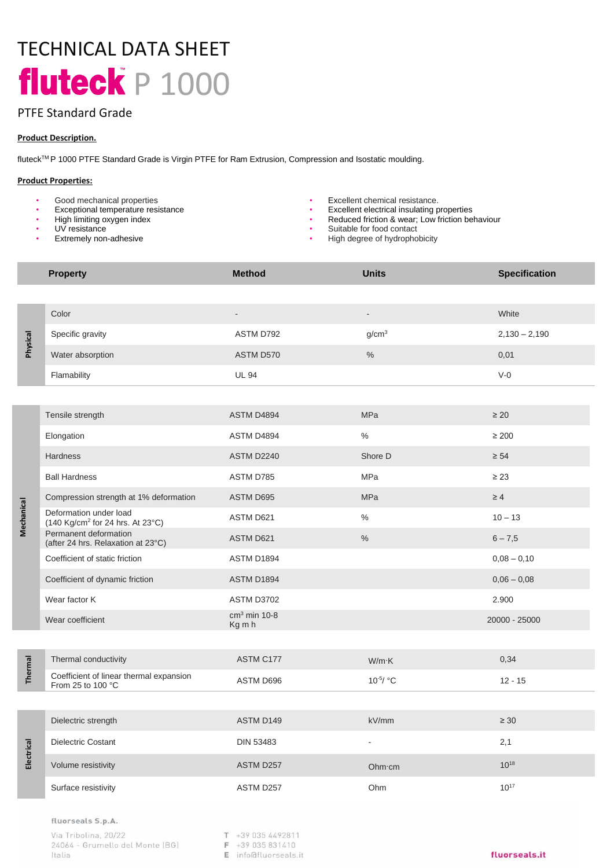# TECHNICAL DATA SHEET fluteck P 1000

# PTFE Standard Grade

## **Product Description.**

fluteckTM P 1000 PTFE Standard Grade is Virgin PTFE for Ram Extrusion, Compression and Isostatic moulding.

### **Product Properties:**

- Good mechanical properties  **Excellent chemical resistance.**<br>• Exceptional temperature resistance  **Excellent electrical insulating p**
- 
- High limiting oxygen index
- UV resistance
- **Extremely non-adhesive**

- Exceptional temperature resistance Excellent electrical insulating properties<br>• High limiting oxygen index High limiting oxygen index Reduced friction & wear I ow friction be
	- Reduced friction & wear; Low friction behaviour
	- Suitable for food contact
	- High degree of hydrophobicity

|            | <b>Property</b>                                                        | <b>Method</b>            | <b>Units</b>      | <b>Specification</b> |
|------------|------------------------------------------------------------------------|--------------------------|-------------------|----------------------|
|            |                                                                        |                          |                   |                      |
| Physical   | Color                                                                  |                          |                   | White                |
|            | Specific gravity                                                       | ASTM D792                | q/cm <sup>3</sup> | $2,130 - 2,190$      |
|            | Water absorption                                                       | ASTM D570                | $\%$              | 0,01                 |
|            | Flamability                                                            | <b>UL 94</b>             |                   | $V-0$                |
|            |                                                                        |                          |                   |                      |
| Mechanical | Tensile strength                                                       | ASTM D4894               | <b>MPa</b>        | $\geq 20$            |
|            | Elongation                                                             | ASTM D4894               | $\%$              | $\geq 200$           |
|            | <b>Hardness</b>                                                        | ASTM D2240               | Shore D           | $\geq 54$            |
|            | <b>Ball Hardness</b>                                                   | ASTM D785                | <b>MPa</b>        | $\geq 23$            |
|            | Compression strength at 1% deformation                                 | ASTM D695                | <b>MPa</b>        | $\geq 4$             |
|            | Deformation under load<br>(140 Kg/cm <sup>2</sup> for 24 hrs. At 23°C) | ASTM D621                | $\%$              | $10 - 13$            |
|            | Permanent deformation<br>(after 24 hrs. Relaxation at 23°C)            | ASTM D621                | $\%$              | $6 - 7,5$            |
|            | Coefficient of static friction                                         | ASTM D1894               |                   | $0,08 - 0,10$        |
|            | Coefficient of dynamic friction                                        | ASTM D1894               |                   | $0,06 - 0,08$        |
|            | Wear factor K                                                          | ASTM D3702               |                   | 2.900                |
|            | Wear coefficient                                                       | $cm3$ min 10-8<br>Kg m h |                   | 20000 - 25000        |
|            |                                                                        |                          |                   |                      |
| Thermal    | Thermal conductivity                                                   | ASTM C177                | $W/m$ K           | 0,34                 |
|            | Coefficient of linear thermal expansion<br>From 25 to 100 °C           | ASTM D696                | $10^{-5}$ / °C    | $12 - 15$            |
|            |                                                                        |                          |                   |                      |
| Electrical | Dielectric strength                                                    | ASTM D149                | kV/mm             | $\geq 30$            |
|            | Dielectric Costant                                                     | <b>DIN 53483</b>         |                   | 2,1                  |
|            | Volume resistivity                                                     | ASTM D257                | Ohm·cm            | $10^{18}$            |
|            | Surface resistivity                                                    | ASTM D257                | Ohm               | $10^{17}$            |

#### fluorseals S.p.A.

Via Tribolina, 20/22 24064 - Grumello del Monte (BG) Italia

 $T + 390354492811$ 

F +39 035 831410

E info@fluorseals.it

## fluorseals.it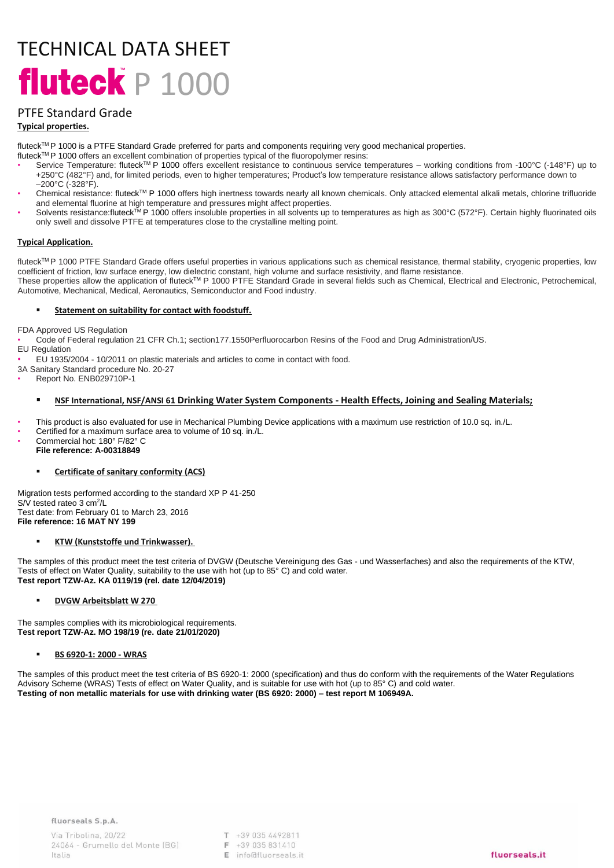# TECHNICAL DATA SHEET fluteck P 1000

# PTFE Standard Grade

## **Typical properties.**

fluteck™P 1000 is a PTFE Standard Grade preferred for parts and components requiring very good mechanical properties.

- fluteck™P 1000 offers an excellent combination of properties typical of the fluoropolymer resins:
- Service Temperature: fluteckTM P 1000 offers excellent resistance to continuous service temperatures working conditions from -100°C (-148°F) up to +250°C (482°F) and, for limited periods, even to higher temperatures; Product's low temperature resistance allows satisfactory performance down to –200°C (-328°F).
- Chemical resistance: fluteck™ P 1000 offers high inertness towards nearly all known chemicals. Only attacked elemental alkali metals, chlorine trifluoride and elemental fluorine at high temperature and pressures might affect properties.
- Solvents resistance:fluteck™P 1000 offers insoluble properties in all solvents up to temperatures as high as 300°C (572°F). Certain highly fluorinated oils only swell and dissolve PTFE at temperatures close to the crystalline melting point.

### **Typical Application.**

fluteck™P 1000 PTFE Standard Grade offers useful properties in various applications such as chemical resistance, thermal stability, cryogenic properties, low coefficient of friction, low surface energy, low dielectric constant, high volume and surface resistivity, and flame resistance. These properties allow the application of fluteck<sup>TM</sup> P 1000 PTFE Standard Grade in several fields such as Chemical, Electrical and Electronic, Petrochemical, Automotive, Mechanical, Medical, Aeronautics, Semiconductor and Food industry.

### **Statement on suitability for contact with foodstuff.**

FDA Approved US Regulation

• Code of Federal regulation 21 CFR Ch.1; section177.1550Perfluorocarbon Resins of the Food and Drug Administration/US.

EU Regulation

• EU 1935/2004 - 10/2011 on plastic materials and articles to come in contact with food.

3A Sanitary Standard procedure No. 20-27

• Report No. ENB029710P-1

## ▪ **NSF International, NSF/ANSI 61 Drinking Water System Components - Health Effects, Joining and Sealing Materials;**

• This product is also evaluated for use in Mechanical Plumbing Device applications with a maximum use restriction of 10.0 sq. in./L.

- Certified for a maximum surface area to volume of 10 sq. in./L.
- Commercial hot: 180° F/82° C **File reference: A-00318849**

### ▪ **Certificate of sanitary conformity (ACS)**

Migration tests performed according to the standard XP P 41-250 S/V tested rateo 3 cm<sup>2</sup>/L Test date: from February 01 to March 23, 2016 **File reference: 16 MAT NY 199**

### ▪ **KTW (Kunststoffe und Trinkwasser).**

The samples of this product meet the test criteria of DVGW (Deutsche Vereinigung des Gas - und Wasserfaches) and also the requirements of the KTW, Tests of effect on Water Quality, suitability to the use with hot (up to 85° C) and cold water. **Test report TZW-Az. KA 0119/19 (rel. date 12/04/2019)** 

### **DVGW Arbeitsblatt W 270**

The samples complies with its microbiological requirements. **Test report TZW-Az. MO 198/19 (re. date 21/01/2020)** 

▪ **BS 6920-1: 2000 - WRAS**

The samples of this product meet the test criteria of BS 6920-1: 2000 (specification) and thus do conform with the requirements of the Water Regulations Advisory Scheme (WRAS) Tests of effect on Water Quality, and is suitable for use with hot (up to 85° C) and cold water. **Testing of non metallic materials for use with drinking water (BS 6920: 2000) – test report M 106949A.**

T +39 035 4492811 F +39 035 831410  $F$  info@fluorseals it